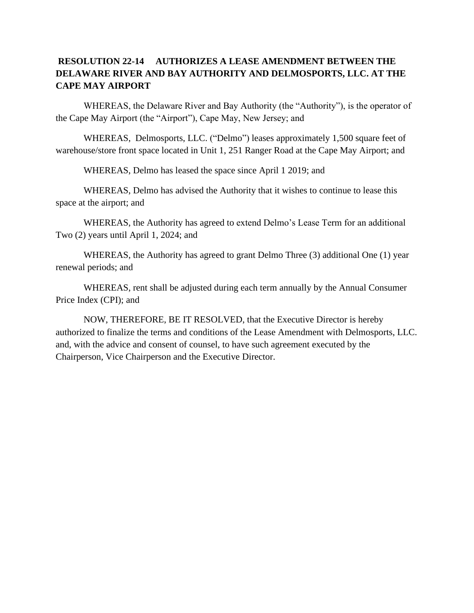## **RESOLUTION 22-14 AUTHORIZES A LEASE AMENDMENT BETWEEN THE DELAWARE RIVER AND BAY AUTHORITY AND DELMOSPORTS, LLC. AT THE CAPE MAY AIRPORT**

WHEREAS, the Delaware River and Bay Authority (the "Authority"), is the operator of the Cape May Airport (the "Airport"), Cape May, New Jersey; and

WHEREAS, Delmosports, LLC. ("Delmo") leases approximately 1,500 square feet of warehouse/store front space located in Unit 1, 251 Ranger Road at the Cape May Airport; and

WHEREAS, Delmo has leased the space since April 1 2019; and

WHEREAS, Delmo has advised the Authority that it wishes to continue to lease this space at the airport; and

WHEREAS, the Authority has agreed to extend Delmo's Lease Term for an additional Two (2) years until April 1, 2024; and

WHEREAS, the Authority has agreed to grant Delmo Three (3) additional One (1) year renewal periods; and

WHEREAS, rent shall be adjusted during each term annually by the Annual Consumer Price Index (CPI); and

NOW, THEREFORE, BE IT RESOLVED, that the Executive Director is hereby authorized to finalize the terms and conditions of the Lease Amendment with Delmosports, LLC. and, with the advice and consent of counsel, to have such agreement executed by the Chairperson, Vice Chairperson and the Executive Director.